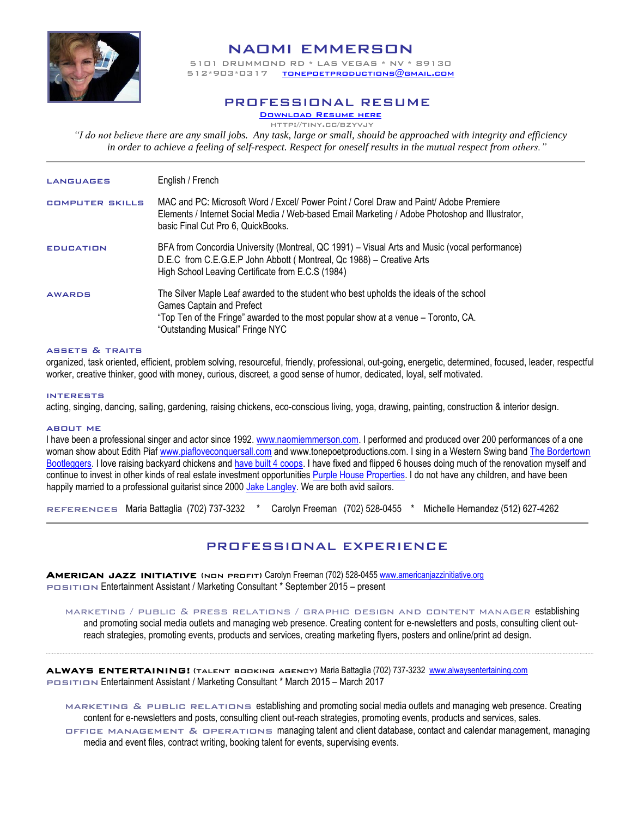

# naomi emmerson

5101 DRUMMOND RD \* LAS VEGAS \* NV \* 89130  $T$ ONEPOETPRODUCTIONS $@$ GMAIL.COM

### PROFESSIONAL RESUME

[Download Resume here](http://www.piafloveconquersall.com/naomi-emmerson.html) http://tiny.cc/bzyvjy

*"I do not believe there are any small jobs. Any task, large or small, should be approached with integrity and efficiency in order to achieve a feeling of self-respect. Respect for oneself results in the mutual respect from others."*

| <b>LANGUAGES</b>       | English / French                                                                                                                                                                                                                              |
|------------------------|-----------------------------------------------------------------------------------------------------------------------------------------------------------------------------------------------------------------------------------------------|
| <b>COMPUTER SKILLS</b> | MAC and PC: Microsoft Word / Excel/ Power Point / Corel Draw and Paint/ Adobe Premiere<br>Elements / Internet Social Media / Web-based Email Marketing / Adobe Photoshop and Illustrator,<br>basic Final Cut Pro 6, QuickBooks.               |
| <b>EDUCATION</b>       | BFA from Concordia University (Montreal, QC 1991) – Visual Arts and Music (vocal performance)<br>D.E.C from C.E.G.E.P John Abbott (Montreal, Qc 1988) – Creative Arts<br>High School Leaving Certificate from E.C.S (1984)                    |
| <b>AWARDS</b>          | The Silver Maple Leaf awarded to the student who best upholds the ideals of the school<br>Games Captain and Prefect<br>"Top Ten of the Fringe" awarded to the most popular show at a venue – Toronto, CA.<br>"Outstanding Musical" Fringe NYC |

#### assets & traits

organized, task oriented, efficient, problem solving, resourceful, friendly, professional, out-going, energetic, determined, focused, leader, respectful worker, creative thinker, good with money, curious, discreet, a good sense of humor, dedicated, loyal, self motivated.

#### interests

acting, singing, dancing, sailing, gardening, raising chickens, eco-conscious living, yoga, drawing, painting, construction & interior design.

#### about me

I have been a professional singer and actor since 1992. [www.naomiemmerson.com.](http://www.naomiemmerson.com/) I performed and produced over 200 performances of a one woman show about Edith Piaf [www.piafloveconquersall.com](http://www.piafloveconquersall.com/) and www.tonepoetproductions.com. I sing in a Western Swing band The Bordertown [Bootleggers.](https://www.facebook.com/thebordertownbootleggers/) I love raising backyard chickens an[d have built 4 coops.](https://youtu.be/QS9vImpq2lE) I have fixed and flipped 6 houses doing much of the renovation myself and continue to invest in other kinds of real estate investment opportunities [Purple House Properties.](http://www.purplehouseproperties.com/) I do not have any children, and have been happily married to a professional guitarist since 2000 [Jake Langley.](http://www.jakelangley.com/) We are both avid sailors.

references Maria Battaglia (702) 737-3232 \* Carolyn Freeman (702) 528-0455 \* Michelle Hernandez (512) 627-4262

## PROFESSIONAL EXPERIENCE

AMERICAN JAZZ INITIATIVE (NON PROFIT) Carolyn Freeman (702) 528-0455 [www.americanjazzinitiative.org](http://www.americanjazzinitiative.org/) position Entertainment Assistant / Marketing Consultant \* September 2015 – present

marketing / public & press relations / graphic design and content manager establishing and promoting social media outlets and managing web presence. Creating content for e-newsletters and posts, consulting client outreach strategies, promoting events, products and services, creating marketing flyers, posters and online/print ad design.

ALWAYS ENTERTAINING! (TALENT BOOKING AGENCY) Maria Battaglia (702) 737-3232 [www.alwaysentertaining.com](http://www.alwaysentertaining.com/) position Entertainment Assistant / Marketing Consultant \* March 2015 – March 2017

marketing & public relations establishing and promoting social media outlets and managing web presence. Creating content for e-newsletters and posts, consulting client out-reach strategies, promoting events, products and services, sales. office management & operations managing talent and client database, contact and calendar management, managing media and event files, contract writing, booking talent for events, supervising events.